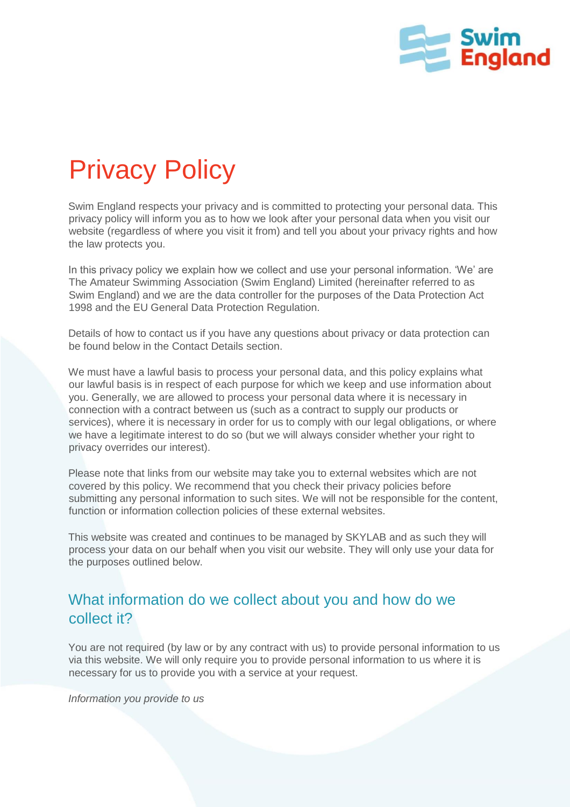

# Privacy Policy

Swim England respects your privacy and is committed to protecting your personal data. This privacy policy will inform you as to how we look after your personal data when you visit our website (regardless of where you visit it from) and tell you about your privacy rights and how the law protects you.

In this privacy policy we explain how we collect and use your personal information. 'We' are The Amateur Swimming Association (Swim England) Limited (hereinafter referred to as Swim England) and we are the data controller for the purposes of the Data Protection Act 1998 and the EU General Data Protection Regulation.

Details of how to contact us if you have any questions about privacy or data protection can be found below in the Contact Details section.

We must have a lawful basis to process your personal data, and this policy explains what our lawful basis is in respect of each purpose for which we keep and use information about you. Generally, we are allowed to process your personal data where it is necessary in connection with a contract between us (such as a contract to supply our products or services), where it is necessary in order for us to comply with our legal obligations, or where we have a legitimate interest to do so (but we will always consider whether your right to privacy overrides our interest).

Please note that links from our website may take you to external websites which are not covered by this policy. We recommend that you check their privacy policies before submitting any personal information to such sites. We will not be responsible for the content, function or information collection policies of these external websites.

This website was created and continues to be managed by SKYLAB and as such they will process your data on our behalf when you visit our website. They will only use your data for the purposes outlined below.

# What information do we collect about you and how do we collect it?

You are not required (by law or by any contract with us) to provide personal information to us via this website. We will only require you to provide personal information to us where it is necessary for us to provide you with a service at your request.

*Information you provide to us*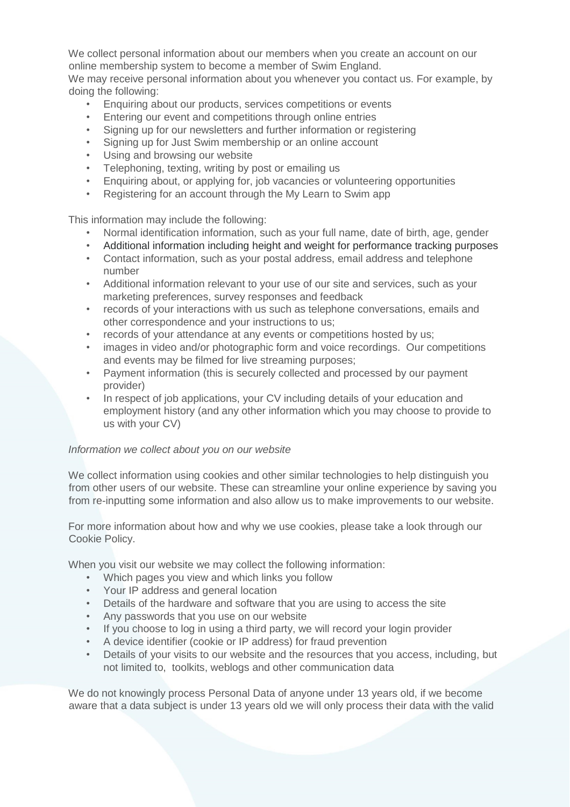We collect personal information about our members when you create an account on our online membership system to become a member of Swim England.

We may receive personal information about you whenever you contact us. For example, by doing the following:

- Enquiring about our products, services competitions or events
- Entering our event and competitions through online entries
- Signing up for our newsletters and further information or registering
- Signing up for Just Swim membership or an online account
- Using and browsing our website
- Telephoning, texting, writing by post or emailing us
- Enquiring about, or applying for, job vacancies or volunteering opportunities
- Registering for an account through the My Learn to Swim app

This information may include the following:

- Normal identification information, such as your full name, date of birth, age, gender
- Additional information including height and weight for performance tracking purposes
- Contact information, such as your postal address, email address and telephone number
- Additional information relevant to your use of our site and services, such as your marketing preferences, survey responses and feedback
- records of your interactions with us such as telephone conversations, emails and other correspondence and your instructions to us;
- records of your attendance at any events or competitions hosted by us;
- images in video and/or photographic form and voice recordings. Our competitions and events may be filmed for live streaming purposes;
- Payment information (this is securely collected and processed by our payment provider)
- In respect of job applications, your CV including details of your education and employment history (and any other information which you may choose to provide to us with your CV)

#### *Information we collect about you on our website*

We collect information using cookies and other similar technologies to help distinguish you from other users of our website. These can streamline your online experience by saving you from re-inputting some information and also allow us to make improvements to our website.

For more information about how and why we use cookies, please take a look through our Cookie Policy.

When you visit our website we may collect the following information:

- Which pages you view and which links you follow
- Your IP address and general location
- Details of the hardware and software that you are using to access the site
- Any passwords that you use on our website
- If you choose to log in using a third party, we will record your login provider
- A device identifier (cookie or IP address) for fraud prevention
- Details of your visits to our website and the resources that you access, including, but not limited to, toolkits, weblogs and other communication data

We do not knowingly process Personal Data of anyone under 13 years old, if we become aware that a data subject is under 13 years old we will only process their data with the valid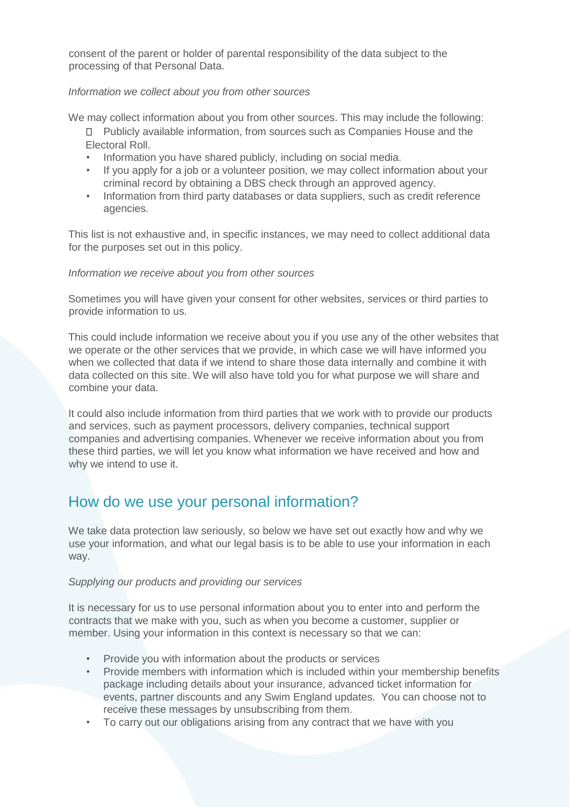consent of the parent or holder of parental responsibility of the data subject to the processing of that Personal Data.

#### *Information we collect about you from other sources*

We may collect information about you from other sources. This may include the following:

- Publicly available information, from sources such as Companies House and the Electoral Roll.
- Information you have shared publicly, including on social media.
- If you apply for a job or a volunteer position, we may collect information about your criminal record by obtaining a DBS check through an approved agency.
- Information from third party databases or data suppliers, such as credit reference agencies.

This list is not exhaustive and, in specific instances, we may need to collect additional data for the purposes set out in this policy.

#### *Information we receive about you from other sources*

Sometimes you will have given your consent for other websites, services or third parties to provide information to us.

This could include information we receive about you if you use any of the other websites that we operate or the other services that we provide, in which case we will have informed you when we collected that data if we intend to share those data internally and combine it with data collected on this site. We will also have told you for what purpose we will share and combine your data.

It could also include information from third parties that we work with to provide our products and services, such as payment processors, delivery companies, technical support companies and advertising companies. Whenever we receive information about you from these third parties, we will let you know what information we have received and how and why we intend to use it.

## How do we use your personal information?

We take data protection law seriously, so below we have set out exactly how and why we use your information, and what our legal basis is to be able to use your information in each way.

#### *Supplying our products and providing our services*

It is necessary for us to use personal information about you to enter into and perform the contracts that we make with you, such as when you become a customer, supplier or member. Using your information in this context is necessary so that we can:

- Provide you with information about the products or services
- Provide members with information which is included within your membership benefits package including details about your insurance, advanced ticket information for events, partner discounts and any Swim England updates. You can choose not to receive these messages by unsubscribing from them.
- To carry out our obligations arising from any contract that we have with you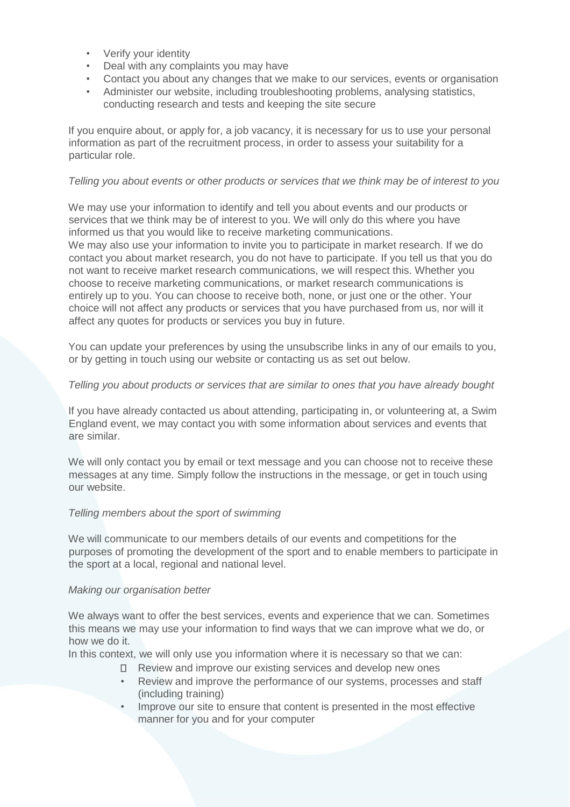- Verify your identity
- Deal with any complaints you may have
- Contact you about any changes that we make to our services, events or organisation
- Administer our website, including troubleshooting problems, analysing statistics, conducting research and tests and keeping the site secure

If you enquire about, or apply for, a job vacancy, it is necessary for us to use your personal information as part of the recruitment process, in order to assess your suitability for a particular role.

#### *Telling you about events or other products or services that we think may be of interest to you*

We may use your information to identify and tell you about events and our products or services that we think may be of interest to you. We will only do this where you have informed us that you would like to receive marketing communications. We may also use your information to invite you to participate in market research. If we do contact you about market research, you do not have to participate. If you tell us that you do not want to receive market research communications, we will respect this. Whether you choose to receive marketing communications, or market research communications is entirely up to you. You can choose to receive both, none, or just one or the other. Your choice will not affect any products or services that you have purchased from us, nor will it affect any quotes for products or services you buy in future.

You can update your preferences by using the unsubscribe links in any of our emails to you, or by getting in touch using our website or contacting us as set out below.

#### *Telling you about products or services that are similar to ones that you have already bought*

If you have already contacted us about attending, participating in, or volunteering at, a Swim England event, we may contact you with some information about services and events that are similar.

We will only contact you by email or text message and you can choose not to receive these messages at any time. Simply follow the instructions in the message, or get in touch using our website.

#### *Telling members about the sport of swimming*

We will communicate to our members details of our events and competitions for the purposes of promoting the development of the sport and to enable members to participate in the sport at a local, regional and national level.

#### *Making our organisation better*

We always want to offer the best services, events and experience that we can. Sometimes this means we may use your information to find ways that we can improve what we do, or how we do it.

In this context, we will only use you information where it is necessary so that we can:

- □ Review and improve our existing services and develop new ones
- Review and improve the performance of our systems, processes and staff (including training)
- Improve our site to ensure that content is presented in the most effective manner for you and for your computer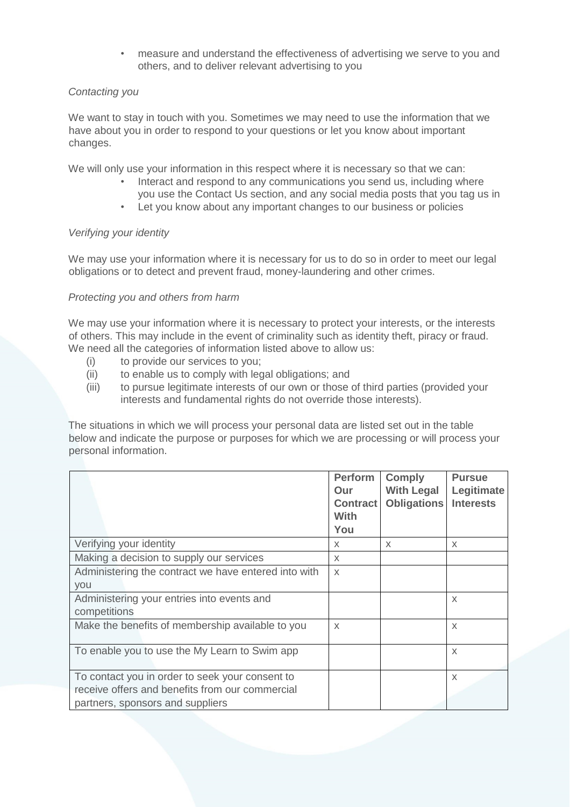• measure and understand the effectiveness of advertising we serve to you and others, and to deliver relevant advertising to you

#### *Contacting you*

We want to stay in touch with you. Sometimes we may need to use the information that we have about you in order to respond to your questions or let you know about important changes.

We will only use your information in this respect where it is necessary so that we can:

- Interact and respond to any communications you send us, including where you use the Contact Us section, and any social media posts that you tag us in
- Let you know about any important changes to our business or policies

#### *Verifying your identity*

We may use your information where it is necessary for us to do so in order to meet our legal obligations or to detect and prevent fraud, money-laundering and other crimes.

#### *Protecting you and others from harm*

We may use your information where it is necessary to protect your interests, or the interests of others. This may include in the event of criminality such as identity theft, piracy or fraud. We need all the categories of information listed above to allow us:

- (i) to provide our services to you;
- (ii) to enable us to comply with legal obligations; and
- (iii) to pursue legitimate interests of our own or those of third parties (provided your interests and fundamental rights do not override those interests).

The situations in which we will process your personal data are listed set out in the table below and indicate the purpose or purposes for which we are processing or will process your personal information.

|                                                                                                                                        | <b>Perform</b><br>Our<br><b>Contract</b><br><b>With</b><br>You | <b>Comply</b><br><b>With Legal</b><br><b>Obligations</b> | <b>Pursue</b><br>Legitimate<br><b>Interests</b> |
|----------------------------------------------------------------------------------------------------------------------------------------|----------------------------------------------------------------|----------------------------------------------------------|-------------------------------------------------|
| Verifying your identity                                                                                                                | X                                                              | X                                                        | X                                               |
| Making a decision to supply our services                                                                                               | X                                                              |                                                          |                                                 |
| Administering the contract we have entered into with<br>you                                                                            | $\chi$                                                         |                                                          |                                                 |
| Administering your entries into events and<br>competitions                                                                             |                                                                |                                                          | $\mathsf{X}$                                    |
| Make the benefits of membership available to you                                                                                       | $\times$                                                       |                                                          | X                                               |
| To enable you to use the My Learn to Swim app                                                                                          |                                                                |                                                          | X                                               |
| To contact you in order to seek your consent to<br>receive offers and benefits from our commercial<br>partners, sponsors and suppliers |                                                                |                                                          | $\mathsf{X}$                                    |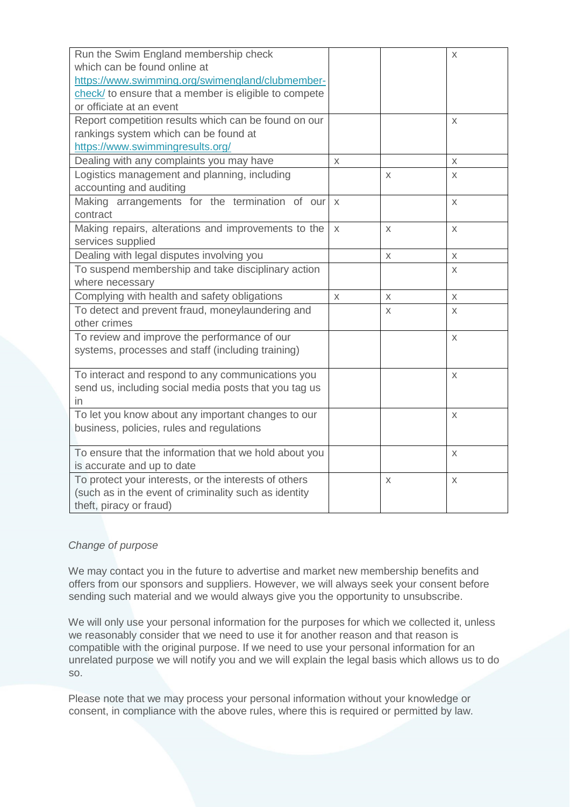| Run the Swim England membership check                 |        |   | X |
|-------------------------------------------------------|--------|---|---|
| which can be found online at                          |        |   |   |
| https://www.swimming.org/swimengland/clubmember-      |        |   |   |
| check/ to ensure that a member is eligible to compete |        |   |   |
| or officiate at an event                              |        |   |   |
| Report competition results which can be found on our  |        |   | X |
| rankings system which can be found at                 |        |   |   |
| https://www.swimmingresults.org/                      |        |   |   |
| Dealing with any complaints you may have              | X      |   | X |
| Logistics management and planning, including          |        | X | X |
| accounting and auditing                               |        |   |   |
| Making arrangements for the termination of our        | $\chi$ |   | X |
| contract                                              |        |   |   |
| Making repairs, alterations and improvements to the   | X      | X | X |
| services supplied                                     |        |   |   |
| Dealing with legal disputes involving you             |        | X | X |
| To suspend membership and take disciplinary action    |        |   | X |
| where necessary                                       |        |   |   |
| Complying with health and safety obligations          | X      | X | X |
| To detect and prevent fraud, moneylaundering and      |        | X | X |
| other crimes                                          |        |   |   |
| To review and improve the performance of our          |        |   | X |
| systems, processes and staff (including training)     |        |   |   |
|                                                       |        |   |   |
| To interact and respond to any communications you     |        |   | X |
| send us, including social media posts that you tag us |        |   |   |
| in.                                                   |        |   |   |
| To let you know about any important changes to our    |        |   | X |
| business, policies, rules and regulations             |        |   |   |
|                                                       |        |   |   |
| To ensure that the information that we hold about you |        |   | X |
| is accurate and up to date                            |        |   |   |
| To protect your interests, or the interests of others |        | X | X |
| (such as in the event of criminality such as identity |        |   |   |
| theft, piracy or fraud)                               |        |   |   |

#### *Change of purpose*

We may contact you in the future to advertise and market new membership benefits and offers from our sponsors and suppliers. However, we will always seek your consent before sending such material and we would always give you the opportunity to unsubscribe.

We will only use your personal information for the purposes for which we collected it, unless we reasonably consider that we need to use it for another reason and that reason is compatible with the original purpose. If we need to use your personal information for an unrelated purpose we will notify you and we will explain the legal basis which allows us to do so.

Please note that we may process your personal information without your knowledge or consent, in compliance with the above rules, where this is required or permitted by law.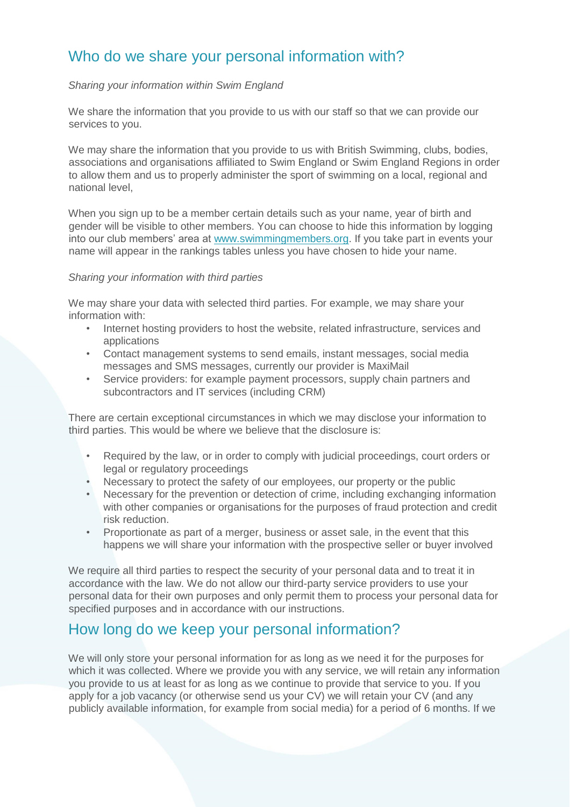# Who do we share your personal information with?

#### *Sharing your information within Swim England*

We share the information that you provide to us with our staff so that we can provide our services to you.

We may share the information that you provide to us with British Swimming, clubs, bodies, associations and organisations affiliated to Swim England or Swim England Regions in order to allow them and us to properly administer the sport of swimming on a local, regional and national level,

When you sign up to be a member certain details such as your name, year of birth and gender will be visible to other members. You can choose to hide this information by logging into our club members' area at [www.swimmingmembers.org.](http://www.swimmingmembers.org/) If you take part in events your name will appear in the rankings tables unless you have chosen to hide your name.

#### *Sharing your information with third parties*

We may share your data with selected third parties. For example, we may share your information with:

- Internet hosting providers to host the website, related infrastructure, services and applications
- Contact management systems to send emails, instant messages, social media messages and SMS messages, currently our provider is MaxiMail
- Service providers: for example payment processors, supply chain partners and subcontractors and IT services (including CRM)

There are certain exceptional circumstances in which we may disclose your information to third parties. This would be where we believe that the disclosure is:

- Required by the law, or in order to comply with judicial proceedings, court orders or legal or regulatory proceedings
- Necessary to protect the safety of our employees, our property or the public
- Necessary for the prevention or detection of crime, including exchanging information with other companies or organisations for the purposes of fraud protection and credit risk reduction.
- Proportionate as part of a merger, business or asset sale, in the event that this happens we will share your information with the prospective seller or buyer involved

We require all third parties to respect the security of your personal data and to treat it in accordance with the law. We do not allow our third-party service providers to use your personal data for their own purposes and only permit them to process your personal data for specified purposes and in accordance with our instructions.

## How long do we keep your personal information?

We will only store your personal information for as long as we need it for the purposes for which it was collected. Where we provide you with any service, we will retain any information you provide to us at least for as long as we continue to provide that service to you. If you apply for a job vacancy (or otherwise send us your CV) we will retain your CV (and any publicly available information, for example from social media) for a period of 6 months. If we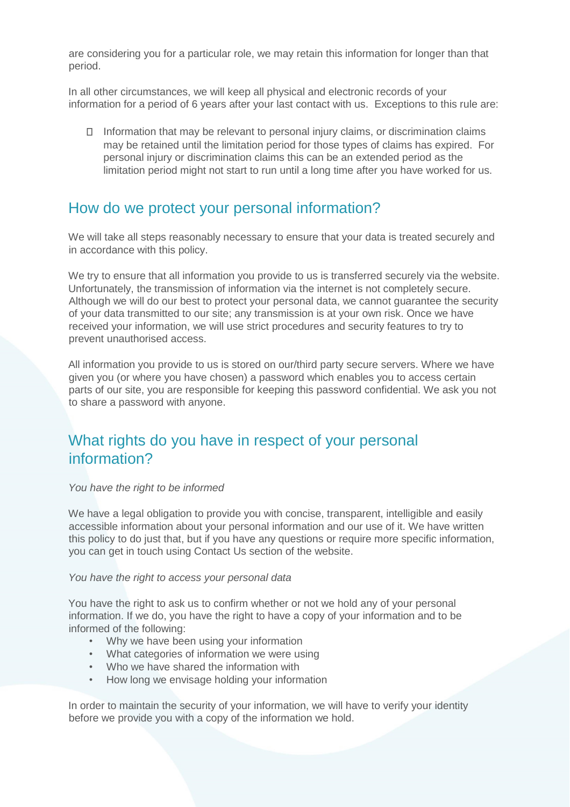are considering you for a particular role, we may retain this information for longer than that period.

In all other circumstances, we will keep all physical and electronic records of your information for a period of 6 years after your last contact with us. Exceptions to this rule are:

 $\Box$  Information that may be relevant to personal injury claims, or discrimination claims may be retained until the limitation period for those types of claims has expired. For personal injury or discrimination claims this can be an extended period as the limitation period might not start to run until a long time after you have worked for us.

### How do we protect your personal information?

We will take all steps reasonably necessary to ensure that your data is treated securely and in accordance with this policy.

We try to ensure that all information you provide to us is transferred securely via the website. Unfortunately, the transmission of information via the internet is not completely secure. Although we will do our best to protect your personal data, we cannot guarantee the security of your data transmitted to our site; any transmission is at your own risk. Once we have received your information, we will use strict procedures and security features to try to prevent unauthorised access.

All information you provide to us is stored on our/third party secure servers. Where we have given you (or where you have chosen) a password which enables you to access certain parts of our site, you are responsible for keeping this password confidential. We ask you not to share a password with anyone.

# What rights do you have in respect of your personal information?

#### *You have the right to be informed*

We have a legal obligation to provide you with concise, transparent, intelligible and easily accessible information about your personal information and our use of it. We have written this policy to do just that, but if you have any questions or require more specific information, you can get in touch using Contact Us section of the website.

#### *You have the right to access your personal data*

You have the right to ask us to confirm whether or not we hold any of your personal information. If we do, you have the right to have a copy of your information and to be informed of the following:

- Why we have been using your information
- What categories of information we were using
- Who we have shared the information with
- How long we envisage holding your information

In order to maintain the security of your information, we will have to verify your identity before we provide you with a copy of the information we hold.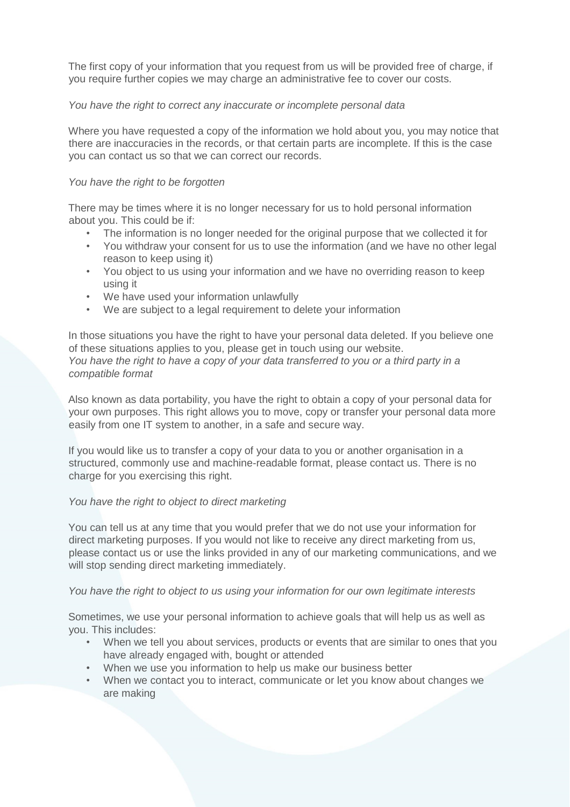The first copy of your information that you request from us will be provided free of charge, if you require further copies we may charge an administrative fee to cover our costs.

#### *You have the right to correct any inaccurate or incomplete personal data*

Where you have requested a copy of the information we hold about you, you may notice that there are inaccuracies in the records, or that certain parts are incomplete. If this is the case you can contact us so that we can correct our records.

#### *You have the right to be forgotten*

There may be times where it is no longer necessary for us to hold personal information about you. This could be if:

- The information is no longer needed for the original purpose that we collected it for
- You withdraw your consent for us to use the information (and we have no other legal reason to keep using it)
- You object to us using your information and we have no overriding reason to keep using it
- We have used your information unlawfully
- We are subject to a legal requirement to delete your information

In those situations you have the right to have your personal data deleted. If you believe one of these situations applies to you, please get in touch using our website. *You have the right to have a copy of your data transferred to you or a third party in a compatible format* 

Also known as data portability, you have the right to obtain a copy of your personal data for your own purposes. This right allows you to move, copy or transfer your personal data more easily from one IT system to another, in a safe and secure way.

If you would like us to transfer a copy of your data to you or another organisation in a structured, commonly use and machine-readable format, please contact us. There is no charge for you exercising this right.

#### *You have the right to object to direct marketing*

You can tell us at any time that you would prefer that we do not use your information for direct marketing purposes. If you would not like to receive any direct marketing from us, please contact us or use the links provided in any of our marketing communications, and we will stop sending direct marketing immediately.

#### *You have the right to object to us using your information for our own legitimate interests*

Sometimes, we use your personal information to achieve goals that will help us as well as you. This includes:

- When we tell you about services, products or events that are similar to ones that you have already engaged with, bought or attended
- When we use you information to help us make our business better
- When we contact you to interact, communicate or let you know about changes we are making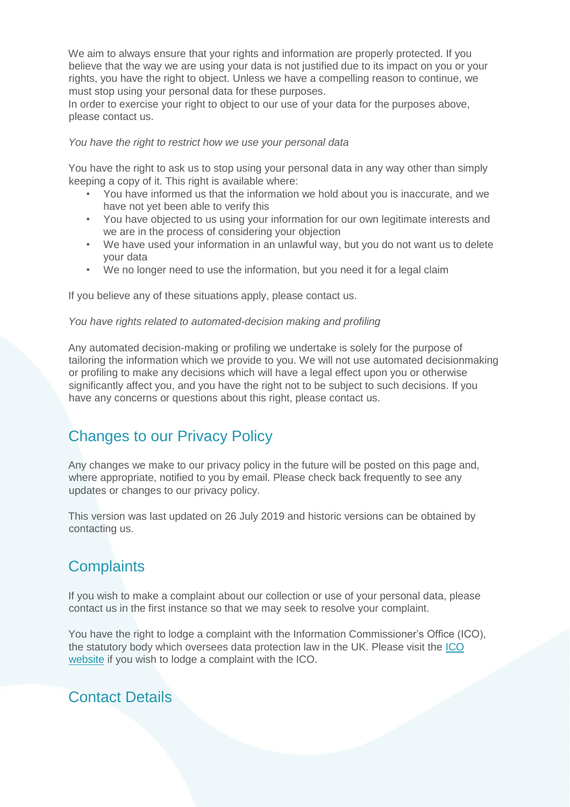We aim to always ensure that your rights and information are properly protected. If you believe that the way we are using your data is not justified due to its impact on you or your rights, you have the right to object. Unless we have a compelling reason to continue, we must stop using your personal data for these purposes.

In order to exercise your right to object to our use of your data for the purposes above, please contact us.

#### *You have the right to restrict how we use your personal data*

You have the right to ask us to stop using your personal data in any way other than simply keeping a copy of it. This right is available where:

- You have informed us that the information we hold about you is inaccurate, and we have not yet been able to verify this
- You have objected to us using your information for our own legitimate interests and we are in the process of considering your objection
- We have used your information in an unlawful way, but you do not want us to delete your data
- We no longer need to use the information, but you need it for a legal claim

If you believe any of these situations apply, please contact us.

#### *You have rights related to automated-decision making and profiling*

Any automated decision-making or profiling we undertake is solely for the purpose of tailoring the information which we provide to you. We will not use automated decisionmaking or profiling to make any decisions which will have a legal effect upon you or otherwise significantly affect you, and you have the right not to be subject to such decisions. If you have any concerns or questions about this right, please contact us.

# Changes to our Privacy Policy

Any changes we make to our privacy policy in the future will be posted on this page and, where appropriate, notified to you by email. Please check back frequently to see any updates or changes to our privacy policy.

This version was last updated on 26 July 2019 and historic versions can be obtained by contacting us.

# **Complaints**

If you wish to make a complaint about our collection or use of your personal data, please contact us in the first instance so that we may seek to resolve your complaint.

You have the right to lodge a complaint with the Information Commissioner's Office (ICO), the statutory body which oversees data protection law in the UK. Please visit the [ICO](https://ico.org.uk/concerns) [website](https://ico.org.uk/concerns) if you wish to lodge a complaint with the ICO.

## Contact Details